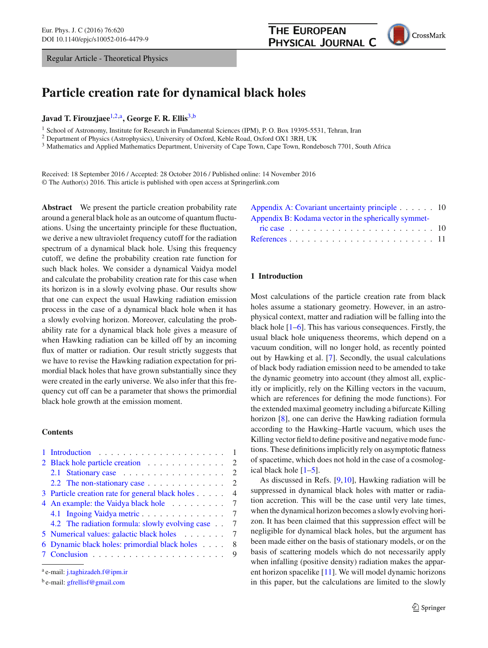Regular Article - Theoretical Physics

# **Particle creation rate for dynamical black holes**

**Javad T. Firouziaee**<sup>[1,2,](#page-0-0)a</sup>, George F. R. Ellis<sup>[3,](#page-0-1)b</sup>

<sup>1</sup> School of Astronomy, Institute for Research in Fundamental Sciences (IPM), P. O. Box 19395-5531, Tehran, Iran

<sup>2</sup> Department of Physics (Astrophysics), University of Oxford, Keble Road, Oxford OX1 3RH, UK

<sup>3</sup> Mathematics and Applied Mathematics Department, University of Cape Town, Cape Town, Rondebosch 7701, South Africa

Received: 18 September 2016 / Accepted: 28 October 2016 / Published online: 14 November 2016 © The Author(s) 2016. This article is published with open access at Springerlink.com

**Abstract** We present the particle creation probability rate around a general black hole as an outcome of quantum fluctuations. Using the uncertainty principle for these fluctuation, we derive a new ultraviolet frequency cutoff for the radiation spectrum of a dynamical black hole. Using this frequency cutoff, we define the probability creation rate function for such black holes. We consider a dynamical Vaidya model and calculate the probability creation rate for this case when its horizon is in a slowly evolving phase. Our results show that one can expect the usual Hawking radiation emission process in the case of a dynamical black hole when it has a slowly evolving horizon. Moreover, calculating the probability rate for a dynamical black hole gives a measure of when Hawking radiation can be killed off by an incoming flux of matter or radiation. Our result strictly suggests that we have to revise the Hawking radiation expectation for primordial black holes that have grown substantially since they were created in the early universe. We also infer that this frequency cut off can be a parameter that shows the primordial black hole growth at the emission moment.

## **Contents**

|                                                       | 2              |  |  |  |  |  |  |
|-------------------------------------------------------|----------------|--|--|--|--|--|--|
| 2.2 The non-stationary case $\dots \dots \dots \dots$ | 2              |  |  |  |  |  |  |
| 3 Particle creation rate for general black holes      | $\overline{4}$ |  |  |  |  |  |  |
| 4 An example: the Vaidya black hole 7                 |                |  |  |  |  |  |  |
| 4.1 Ingoing Vaidya metric 7                           |                |  |  |  |  |  |  |
| 4.2 The radiation formula: slowly evolving case       | 7              |  |  |  |  |  |  |
| 5 Numerical values: galactic black holes<br>7         |                |  |  |  |  |  |  |
| 6 Dynamic black holes: primordial black holes<br>-8   |                |  |  |  |  |  |  |
|                                                       |                |  |  |  |  |  |  |
|                                                       |                |  |  |  |  |  |  |

<sup>a</sup> e-mail: [j.taghizadeh.f@ipm.ir](mailto:j.taghizadeh.f@ipm.ir)

<sup>b</sup> e-mail: [gfrellisf@gmail.com](mailto:gfrellisf@gmail.com)

| Appendix A: Covariant uncertainty principle 10                                      |  |  |  |  |  |  |  |
|-------------------------------------------------------------------------------------|--|--|--|--|--|--|--|
| Appendix B: Kodama vector in the spherically symmet-                                |  |  |  |  |  |  |  |
| ric case $\ldots \ldots \ldots \ldots \ldots \ldots \ldots \ldots \ldots \ldots 10$ |  |  |  |  |  |  |  |
| References11                                                                        |  |  |  |  |  |  |  |

## <span id="page-0-2"></span>**1 Introduction**

Most calculations of the particle creation rate from black holes assume a stationary geometry. However, in an astrophysical context, matter and radiation will be falling into the black hole [\[1](#page-10-1)[–6\]](#page-10-2). This has various consequences. Firstly, the usual black hole uniqueness theorems, which depend on a vacuum condition, will no longer hold, as recently pointed out by Hawking et al. [\[7](#page-10-3)]. Secondly, the usual calculations of black body radiation emission need to be amended to take the dynamic geometry into account (they almost all, explicitly or implicitly, rely on the Killing vectors in the vacuum, which are references for defining the mode functions). For the extended maximal geometry including a bifurcate Killing horizon [\[8](#page-10-4)], one can derive the Hawking radiation formula according to the Hawking–Hartle vacuum, which uses the Killing vector field to define positive and negative mode functions. These definitions implicitly rely on asymptotic flatness of spacetime, which does not hold in the case of a cosmological black hole  $[1-5]$  $[1-5]$ .

As discussed in Refs. [\[9](#page-10-6)[,10](#page-10-7)], Hawking radiation will be suppressed in dynamical black holes with matter or radiation accretion. This will be the case until very late times, when the dynamical horizon becomes a slowly evolving horizon. It has been claimed that this suppression effect will be negligible for dynamical black holes, but the argument has been made either on the basis of stationary models, or on the basis of scattering models which do not necessarily apply when infalling (positive density) radiation makes the apparent horizon spacelike [\[11\]](#page-10-8). We will model dynamic horizons in this paper, but the calculations are limited to the slowly

<span id="page-0-1"></span><span id="page-0-0"></span>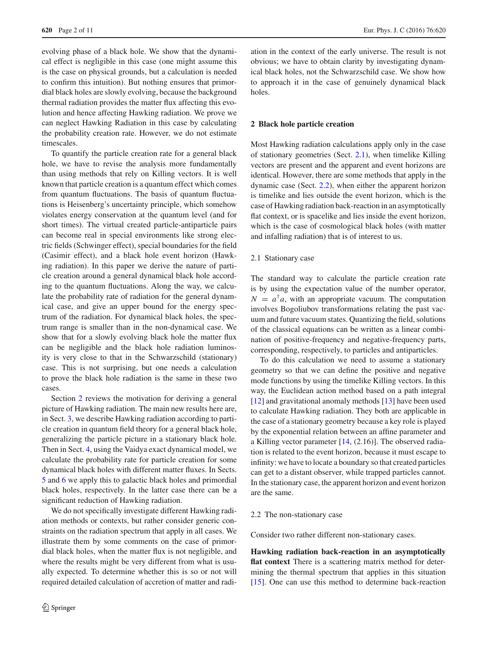evolving phase of a black hole. We show that the dynamical effect is negligible in this case (one might assume this is the case on physical grounds, but a calculation is needed to confirm this intuition). But nothing ensures that primordial black holes are slowly evolving, because the background thermal radiation provides the matter flux affecting this evolution and hence affecting Hawking radiation. We prove we can neglect Hawking Radiation in this case by calculating the probability creation rate. However, we do not estimate timescales.

To quantify the particle creation rate for a general black hole, we have to revise the analysis more fundamentally than using methods that rely on Killing vectors. It is well known that particle creation is a quantum effect which comes from quantum fluctuations. The basis of quantum fluctuations is Heisenberg's uncertainty principle, which somehow violates energy conservation at the quantum level (and for short times). The virtual created particle-antiparticle pairs can become real in special environments like strong electric fields (Schwinger effect), special boundaries for the field (Casimir effect), and a black hole event horizon (Hawking radiation). In this paper we derive the nature of particle creation around a general dynamical black hole according to the quantum fluctuations. Along the way, we calculate the probability rate of radiation for the general dynamical case, and give an upper bound for the energy spectrum of the radiation. For dynamical black holes, the spectrum range is smaller than in the non-dynamical case. We show that for a slowly evolving black hole the matter flux can be negligible and the black hole radiation luminosity is very close to that in the Schwarzschild (stationary) case. This is not surprising, but one needs a calculation to prove the black hole radiation is the same in these two cases.

Section [2](#page-1-0) reviews the motivation for deriving a general picture of Hawking radiation. The main new results here are, in Sect. [3,](#page-3-0) we describe Hawking radiation according to particle creation in quantum field theory for a general black hole, generalizing the particle picture in a stationary black hole. Then in Sect. [4,](#page-6-0) using the Vaidya exact dynamical model, we calculate the probability rate for particle creation for some dynamical black holes with different matter fluxes. In Sects. [5](#page-6-3) and [6](#page-7-0) we apply this to galactic black holes and primordial black holes, respectively. In the latter case there can be a significant reduction of Hawking radiation.

We do not specifically investigate different Hawking radiation methods or contexts, but rather consider generic constraints on the radiation spectrum that apply in all cases. We illustrate them by some comments on the case of primordial black holes, when the matter flux is not negligible, and where the results might be very different from what is usually expected. To determine whether this is so or not will required detailed calculation of accretion of matter and radiation in the context of the early universe. The result is not obvious; we have to obtain clarity by investigating dynamical black holes, not the Schwarzschild case. We show how to approach it in the case of genuinely dynamical black holes.

#### <span id="page-1-0"></span>**2 Black hole particle creation**

Most Hawking radiation calculations apply only in the case of stationary geometries (Sect. [2.1\)](#page-1-1), when timelike Killing vectors are present and the apparent and event horizons are identical. However, there are some methods that apply in the dynamic case (Sect. [2.2\)](#page-1-2), when either the apparent horizon is timelike and lies outside the event horizon, which is the case of Hawking radiation back-reaction in an asymptotically flat context, or is spacelike and lies inside the event horizon, which is the case of cosmological black holes (with matter and infalling radiation) that is of interest to us.

#### <span id="page-1-1"></span>2.1 Stationary case

The standard way to calculate the particle creation rate is by using the expectation value of the number operator,  $N = a^{\dagger} a$ , with an appropriate vacuum. The computation involves Bogoliubov transformations relating the past vacuum and future vacuum states. Quantizing the field, solutions of the classical equations can be written as a linear combination of positive-frequency and negative-frequency parts, corresponding, respectively, to particles and antiparticles.

To do this calculation we need to assume a stationary geometry so that we can define the positive and negative mode functions by using the timelike Killing vectors. In this way, the Euclidean action method based on a path integral [\[12](#page-10-9)] and gravitational anomaly methods [\[13](#page-10-10)] have been used to calculate Hawking radiation. They both are applicable in the case of a stationary geometry because a key role is played by the exponential relation between an affine parameter and a Killing vector parameter [\[14](#page-10-11), (2.16)]. The observed radiation is related to the event horizon, because it must escape to infinity: we have to locate a boundary so that created particles can get to a distant observer, while trapped particles cannot. In the stationary case, the apparent horizon and event horizon are the same.

## <span id="page-1-2"></span>2.2 The non-stationary case

Consider two rather different non-stationary cases.

**Hawking radiation back-reaction in an asymptotically flat context** There is a scattering matrix method for determining the thermal spectrum that applies in this situation [\[15](#page-10-12)]. One can use this method to determine back-reaction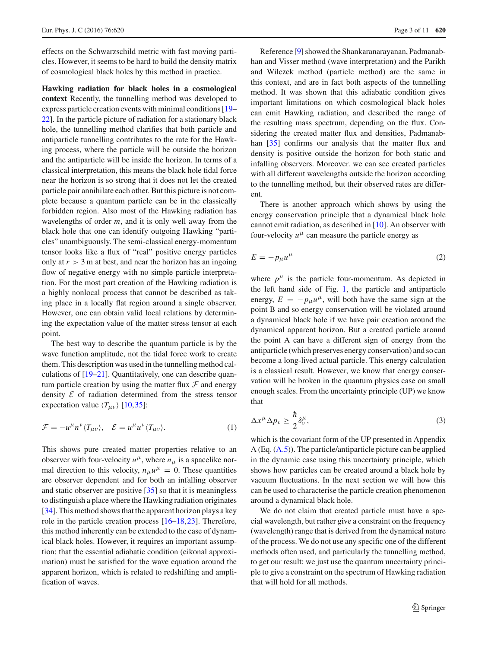effects on the Schwarzschild metric with fast moving particles. However, it seems to be hard to build the density matrix of cosmological black holes by this method in practice.

**Hawking radiation for black holes in a cosmological context** Recently, the tunnelling method was developed to express particle creation events with minimal conditions [\[19](#page-10-13)– [22\]](#page-10-14). In the particle picture of radiation for a stationary black hole, the tunnelling method clarifies that both particle and antiparticle tunnelling contributes to the rate for the Hawking process, where the particle will be outside the horizon and the antiparticle will be inside the horizon. In terms of a classical interpretation, this means the black hole tidal force near the horizon is so strong that it does not let the created particle pair annihilate each other. But this picture is not complete because a quantum particle can be in the classically forbidden region. Also most of the Hawking radiation has wavelengths of order *m*, and it is only well away from the black hole that one can identify outgoing Hawking "particles" unambiguously. The semi-classical energy-momentum tensor looks like a flux of "real" positive energy particles only at  $r > 3$  m at best, and near the horizon has an ingoing flow of negative energy with no simple particle interpretation. For the most part creation of the Hawking radiation is a highly nonlocal process that cannot be described as taking place in a locally flat region around a single observer. However, one can obtain valid local relations by determining the expectation value of the matter stress tensor at each point.

The best way to describe the quantum particle is by the wave function amplitude, not the tidal force work to create them. This description was used in the tunnelling method calculations of [\[19](#page-10-13)[–21](#page-10-15)]. Quantitatively, one can describe quantum particle creation by using the matter flux  $\mathcal F$  and energy density *E* of radiation determined from the stress tensor expectation value  $\langle T_{\mu\nu} \rangle$  [\[10](#page-10-7),[35\]](#page-10-16):

$$
\mathcal{F} = -u^{\mu} n^{\nu} \langle T_{\mu \nu} \rangle, \quad \mathcal{E} = u^{\mu} u^{\nu} \langle T_{\mu \nu} \rangle.
$$
 (1)

This shows pure created matter properties relative to an observer with four-velocity  $u^{\mu}$ , where  $n_{\mu}$  is a spacelike normal direction to this velocity,  $n_{\mu}u^{\mu} = 0$ . These quantities are observer dependent and for both an infalling observer and static observer are positive [\[35\]](#page-10-16) so that it is meaningless to distinguish a place where the Hawking radiation originates [\[34](#page-10-17)]. This method shows that the apparent horizon plays a key role in the particle creation process [\[16](#page-10-18)[–18](#page-10-19),[23](#page-10-20)]. Therefore, this method inherently can be extended to the case of dynamical black holes. However, it requires an important assumption: that the essential adiabatic condition (eikonal approximation) must be satisfied for the wave equation around the apparent horizon, which is related to redshifting and amplification of waves.

Reference [\[9\]](#page-10-6) showed the Shankaranarayanan, Padmanabhan and Visser method (wave interpretation) and the Parikh and Wilczek method (particle method) are the same in this context, and are in fact both aspects of the tunnelling method. It was shown that this adiabatic condition gives important limitations on which cosmological black holes can emit Hawking radiation, and described the range of the resulting mass spectrum, depending on the flux. Considering the created matter flux and densities, Padmanab-han [\[35\]](#page-10-16) confirms our analysis that the matter flux and density is positive outside the horizon for both static and infalling observers. Moreover. we can see created particles with all different wavelengths outside the horizon according to the tunnelling method, but their observed rates are different.

There is another approach which shows by using the energy conservation principle that a dynamical black hole cannot emit radiation, as described in [\[10](#page-10-7)]. An observer with four-velocity  $u^{\mu}$  can measure the particle energy as

<span id="page-2-1"></span>
$$
E = -p_{\mu}u^{\mu} \tag{2}
$$

where  $p^{\mu}$  is the particle four-momentum. As depicted in the left hand side of Fig. [1,](#page-3-1) the particle and antiparticle energy,  $E = -p_{\mu}u^{\mu}$ , will both have the same sign at the point B and so energy conservation will be violated around a dynamical black hole if we have pair creation around the dynamical apparent horizon. But a created particle around the point A can have a different sign of energy from the antiparticle (which preserves energy conservation) and so can become a long-lived actual particle. This energy calculation is a classical result. However, we know that energy conservation will be broken in the quantum physics case on small enough scales. From the uncertainty principle (UP) we know that

<span id="page-2-0"></span>
$$
\Delta x^{\mu} \Delta p_{\nu} \ge \frac{\hbar}{2} \delta^{\mu}_{\nu},\tag{3}
$$

which is the covariant form of the UP presented in Appendix A (Eq. [\(A.5\)](#page-9-2)). The particle/antiparticle picture can be applied in the dynamic case using this uncertainty principle, which shows how particles can be created around a black hole by vacuum fluctuations. In the next section we will how this can be used to characterise the particle creation phenomenon around a dynamical black hole.

We do not claim that created particle must have a special wavelength, but rather give a constraint on the frequency (wavelength) range that is derived from the dynamical nature of the process. We do not use any specific one of the different methods often used, and particularly the tunnelling method, to get our result: we just use the quantum uncertainty principle to give a constraint on the spectrum of Hawking radiation that will hold for all methods.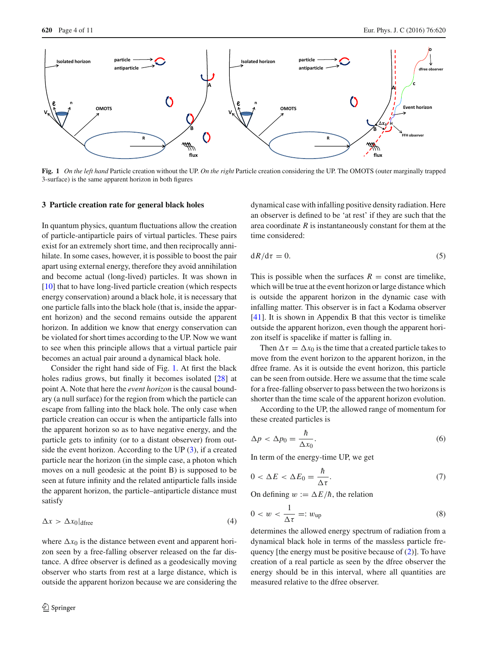

<span id="page-3-1"></span>**Fig. 1** *On the left hand* Particle creation without the UP. *On the right* Particle creation considering the UP. The OMOTS (outer marginally trapped 3-surface) is the same apparent horizon in both figures

## <span id="page-3-0"></span>**3 Particle creation rate for general black holes**

In quantum physics, quantum fluctuations allow the creation of particle-antiparticle pairs of virtual particles. These pairs exist for an extremely short time, and then reciprocally annihilate. In some cases, however, it is possible to boost the pair apart using external energy, therefore they avoid annihilation and become actual (long-lived) particles. It was shown in [\[10](#page-10-7)] that to have long-lived particle creation (which respects energy conservation) around a black hole, it is necessary that one particle falls into the black hole (that is, inside the apparent horizon) and the second remains outside the apparent horizon. In addition we know that energy conservation can be violated for short times according to the UP. Now we want to see when this principle allows that a virtual particle pair becomes an actual pair around a dynamical black hole.

Consider the right hand side of Fig. [1.](#page-3-1) At first the black holes radius grows, but finally it becomes isolated [\[28\]](#page-10-21) at point A. Note that here the *event horizon* is the causal boundary (a null surface) for the region from which the particle can escape from falling into the black hole. The only case when particle creation can occur is when the antiparticle falls into the apparent horizon so as to have negative energy, and the particle gets to infinity (or to a distant observer) from outside the event horizon. According to the UP [\(3\)](#page-2-0), if a created particle near the horizon (in the simple case, a photon which moves on a null geodesic at the point B) is supposed to be seen at future infinity and the related antiparticle falls inside the apparent horizon, the particle–antiparticle distance must satisfy

$$
\Delta x > \Delta x_0|_{\text{dfree}} \tag{4}
$$

where  $\Delta x_0$  is the distance between event and apparent horizon seen by a free-falling observer released on the far distance. A dfree observer is defined as a geodesically moving observer who starts from rest at a large distance, which is outside the apparent horizon because we are considering the dynamical case with infalling positive density radiation. Here an observer is defined to be 'at rest' if they are such that the area coordinate *R* is instantaneously constant for them at the time considered:

$$
dR/d\tau = 0.\t\t(5)
$$

This is possible when the surfaces  $R = \text{const}$  are timelike, which will be true at the event horizon or large distance which is outside the apparent horizon in the dynamic case with infalling matter. This observer is in fact a Kodama observer [\[41](#page-10-22)]. It is shown in Appendix B that this vector is timelike outside the apparent horizon, even though the apparent horizon itself is spacelike if matter is falling in.

Then  $\Delta \tau = \Delta x_0$  is the time that a created particle takes to move from the event horizon to the apparent horizon, in the dfree frame. As it is outside the event horizon, this particle can be seen from outside. Here we assume that the time scale for a free-falling observer to pass between the two horizons is shorter than the time scale of the apparent horizon evolution.

According to the UP, the allowed range of momentum for these created particles is

$$
\Delta p < \Delta p_0 = \frac{\hbar}{\Delta x_0}.\tag{6}
$$

In term of the energy-time UP, we get

<span id="page-3-2"></span>
$$
0 < \Delta E < \Delta E_0 = \frac{\hbar}{\Delta \tau}.\tag{7}
$$

On defining  $w := \Delta E / \hbar$ , the relation

<span id="page-3-3"></span>
$$
0 < w < \frac{1}{\Delta \tau} =: w_{\text{up}} \tag{8}
$$

determines the allowed energy spectrum of radiation from a dynamical black hole in terms of the massless particle frequency [the energy must be positive because of  $(2)$ ]. To have creation of a real particle as seen by the dfree observer the energy should be in this interval, where all quantities are measured relative to the dfree observer.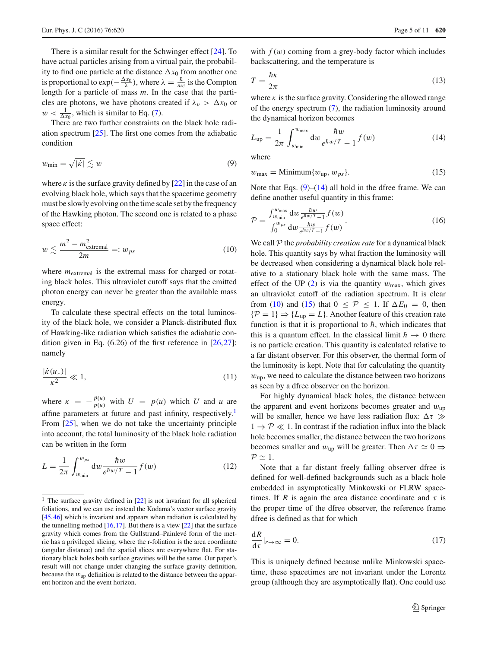There is a similar result for the Schwinger effect [\[24\]](#page-10-23). To have actual particles arising from a virtual pair, the probability to find one particle at the distance  $\Delta x_0$  from another one is proportional to  $\exp(-\frac{\Delta x_0}{\lambda})$ , where  $\lambda = \frac{\hbar}{mc}$  is the Compton length for a particle of mass *m*. In the case that the particles are photons, we have photons created if  $\lambda_{\nu} > \Delta x_0$  or  $w < \frac{1}{\Delta x_0}$ , which is similar to Eq. [\(7\)](#page-3-2).

There are two further constraints on the black hole radiation spectrum [\[25](#page-10-24)]. The first one comes from the adiabatic condition

<span id="page-4-1"></span>
$$
w_{\min} = \sqrt{|\dot{\kappa}|} \lesssim w \tag{9}
$$

where  $\kappa$  is the surface gravity defined by [\[22\]](#page-10-14) in the case of an evolving black hole, which says that the spacetime geometry must be slowly evolving on the time scale set by the frequency of the Hawking photon. The second one is related to a phase space effect:

<span id="page-4-3"></span>
$$
w \lesssim \frac{m^2 - m_{\text{extremal}}^2}{2m} =: w_{ps} \tag{10}
$$

where  $m_{\text{extremal}}$  is the extremal mass for charged or rotating black holes. This ultraviolet cutoff says that the emitted photon energy can never be greater than the available mass energy.

To calculate these spectral effects on the total luminosity of the black hole, we consider a Planck-distributed flux of Hawking-like radiation which satisfies the adiabatic condition given in Eq.  $(6.26)$  of the first reference in  $[26,27]$  $[26,27]$  $[26,27]$ : namely

$$
\frac{|\dot{\kappa}(u_*)|}{\kappa^2} \ll 1,\tag{11}
$$

where  $\kappa = -\frac{\ddot{p}(u)}{p(u)}$  with  $U = p(u)$  which  $U$  and  $u$  are affine parameters at future and past infinity, respectively.<sup>[1](#page-4-0)</sup> From  $[25]$ , when we do not take the uncertainty principle into account, the total luminosity of the black hole radiation can be written in the form

$$
L = \frac{1}{2\pi} \int_{w_{\text{min}}}^{w_{ps}} dw \frac{\hbar w}{e^{\hbar w/T} - 1} f(w)
$$
 (12)

with  $f(w)$  coming from a grey-body factor which includes backscattering, and the temperature is

$$
T = \frac{\hbar \kappa}{2\pi} \tag{13}
$$

where  $\kappa$  is the surface gravity. Considering the allowed range of the energy spectrum [\(7\)](#page-3-2), the radiation luminosity around the dynamical horizon becomes

<span id="page-4-2"></span>
$$
L_{\rm up} = \frac{1}{2\pi} \int_{w_{\rm min}}^{w_{\rm max}} \mathrm{d}w \frac{\hbar w}{e^{\hbar w/T} - 1} f(w) \tag{14}
$$

where

<span id="page-4-4"></span>
$$
w_{\text{max}} = \text{Minimum}\{w_{\text{up}}, w_{\text{ps}}\}.
$$
\n(15)

Note that Eqs.  $(9)$ – $(14)$  all hold in the dfree frame. We can define another useful quantity in this frame:

<span id="page-4-5"></span>
$$
\mathcal{P} = \frac{\int_{w_{\text{min}}}^{w_{\text{max}}} \mathrm{d}w \frac{\hbar w}{e^{\hbar w/T} - 1} f(w)}{\int_0^{w_{ps}} \mathrm{d}w \frac{\hbar w}{e^{\hbar w/T} - 1} f(w)}.
$$
(16)

We call *P* the *probability creation rate* for a dynamical black hole. This quantity says by what fraction the luminosity will be decreased when considering a dynamical black hole relative to a stationary black hole with the same mass. The effect of the UP  $(2)$  is via the quantity  $w_{\text{max}}$ , which gives an ultraviolet cutoff of the radiation spectrum. It is clear from [\(10\)](#page-4-3) and [\(15\)](#page-4-4) that  $0 \le P \le 1$ . If  $\Delta E_0 = 0$ , then  ${P = 1} \Rightarrow$  { $L_{up} = L$ }. Another feature of this creation rate function is that it is proportional to  $\hbar$ , which indicates that this is a quantum effect. In the classical limit  $h \to 0$  there is no particle creation. This quantity is calculated relative to a far distant observer. For this observer, the thermal form of the luminosity is kept. Note that for calculating the quantity  $w_{\text{up}}$ , we need to calculate the distance between two horizons as seen by a dfree observer on the horizon.

For highly dynamical black holes, the distance between the apparent and event horizons becomes greater and  $w_{\text{up}}$ will be smaller, hence we have less radiation flux:  $\Delta \tau \gg$  $1 \Rightarrow P \ll 1$ . In contrast if the radiation influx into the black hole becomes smaller, the distance between the two horizons becomes smaller and  $w_{\text{up}}$  will be greater. Then  $\Delta \tau \simeq 0 \Rightarrow$  $P \simeq 1$ .

Note that a far distant freely falling observer dfree is defined for well-defined backgrounds such as a black hole embedded in asymptotically Minkowski or FLRW spacetimes. If *R* is again the area distance coordinate and  $\tau$  is the proper time of the dfree observer, the reference frame dfree is defined as that for which

$$
\frac{\mathrm{d}R}{\mathrm{d}\tau}|_{r \to \infty} = 0. \tag{17}
$$

This is uniquely defined because unlike Minkowski spacetime, these spacetimes are not invariant under the Lorentz group (although they are asymptotically flat). One could use

<span id="page-4-0"></span><sup>&</sup>lt;sup>1</sup> The surface gravity defined in [\[22](#page-10-14)] is not invariant for all spherical foliations, and we can use instead the Kodama's vector surface gravity [\[45](#page-10-27)[,46\]](#page-10-28) which is invariant and appears when radiation is calculated by the tunnelling method  $[16, 17]$  $[16, 17]$ . But there is a view  $[22]$  that the surface gravity which comes from the Gullstrand–Painlevé form of the metric has a privileged slicing, where the r-foliation is the area coordinate (angular distance) and the spatial slices are everywhere flat. For stationary black holes both surface gravities will be the same. Our paper's result will not change under changing the surface gravity definition, because the  $w_{\text{up}}$  definition is related to the distance between the apparent horizon and the event horizon.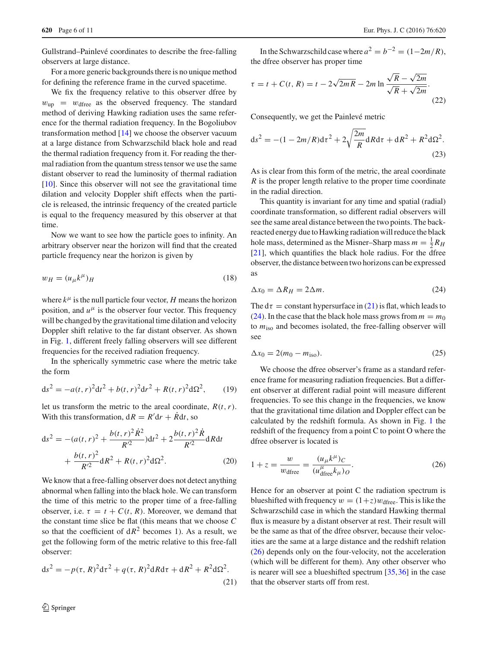Gullstrand–Painlevé coordinates to describe the free-falling observers at large distance.

For a more generic backgrounds there is no unique method for defining the reference frame in the curved spacetime.

We fix the frequency relative to this observer dfree by  $w_{\text{up}} = w_{\text{dfree}}$  as the observed frequency. The standard method of deriving Hawking radiation uses the same reference for the thermal radiation frequency. In the Bogoliubov transformation method  $[14]$  $[14]$  we choose the observer vacuum at a large distance from Schwarzschild black hole and read the thermal radiation frequency from it. For reading the thermal radiation from the quantum stress tensor we use the same distant observer to read the luminosity of thermal radiation [\[10](#page-10-7)]. Since this observer will not see the gravitational time dilation and velocity Doppler shift effects when the particle is released, the intrinsic frequency of the created particle is equal to the frequency measured by this observer at that time.

Now we want to see how the particle goes to infinity. An arbitrary observer near the horizon will find that the created particle frequency near the horizon is given by

$$
w_H = (u_\mu k^\mu)_H \tag{18}
$$

where  $k^{\mu}$  is the null particle four vector, *H* means the horizon position, and  $u^{\mu}$  is the observer four vector. This frequency will be changed by the gravitational time dilation and velocity Doppler shift relative to the far distant observer. As shown in Fig. [1,](#page-3-1) different freely falling observers will see different frequencies for the received radiation frequency.

In the spherically symmetric case where the metric take the form

$$
ds^{2} = -a(t, r)^{2}dt^{2} + b(t, r)^{2}dr^{2} + R(t, r)^{2}d\Omega^{2},
$$
 (19)

let us transform the metric to the areal coordinate,  $R(t, r)$ . With this transformation,  $dR = R'dr + Rdt$ , so

$$
ds^{2} = -(a(t, r)^{2} + \frac{b(t, r)^{2} \dot{R}^{2}}{R'^{2}})dt^{2} + 2\frac{b(t, r)^{2} \dot{R}}{R'^{2}}dRdt
$$

$$
+ \frac{b(t, r)^{2}}{R'^{2}}dR^{2} + R(t, r)^{2}d\Omega^{2}.
$$
(20)

We know that a free-falling observer does not detect anything abnormal when falling into the black hole. We can transform the time of this metric to the proper time of a free-falling observer, i.e.  $\tau = t + C(t, R)$ . Moreover, we demand that the constant time slice be flat (this means that we choose *C* so that the coefficient of  $dR^2$  becomes 1). As a result, we get the following form of the metric relative to this free-fall observer:

<span id="page-5-0"></span>
$$
ds^{2} = -p(\tau, R)^{2}d\tau^{2} + q(\tau, R)^{2}dRd\tau + dR^{2} + R^{2}d\Omega^{2}.
$$
\n(21)

In the Schwarzschild case where  $a^2 = b^{-2} = (1-2m/R)$ , the dfree observer has proper time

$$
\tau = t + C(t, R) = t - 2\sqrt{2mR} - 2m \ln \frac{\sqrt{R} - \sqrt{2m}}{\sqrt{R} + \sqrt{2m}}.
$$
\n(22)

Consequently, we get the Painlevé metric

$$
ds^{2} = -(1 - 2m/R)dt^{2} + 2\sqrt{\frac{2m}{R}}dRdt + dR^{2} + R^{2}d\Omega^{2}.
$$
\n(23)

As is clear from this form of the metric, the areal coordinate *R* is the proper length relative to the proper time coordinate in the radial direction.

This quantity is invariant for any time and spatial (radial) coordinate transformation, so different radial observers will see the same areal distance between the two points. The backreacted energy due to Hawking radiation will reduce the black hole mass, determined as the Misner–Sharp mass  $m = \frac{1}{2}R_H$ [\[21](#page-10-15)], which quantifies the black hole radius. For the dfree observer, the distance between two horizons can be expressed as

<span id="page-5-1"></span>
$$
\Delta x_0 = \Delta R_H = 2\Delta m. \tag{24}
$$

The  $d\tau$  = constant hypersurface in [\(21\)](#page-5-0) is flat, which leads to [\(24\)](#page-5-1). In the case that the black hole mass grows from  $m = m_0$ to *m*iso and becomes isolated, the free-falling observer will see

<span id="page-5-3"></span>
$$
\Delta x_0 = 2(m_0 - m_{\rm iso}).
$$
\n(25)

We choose the dfree observer's frame as a standard reference frame for measuring radiation frequencies. But a different observer at different radial point will measure different frequencies. To see this change in the frequencies, we know that the gravitational time dilation and Doppler effect can be calculated by the redshift formula. As shown in Fig. [1](#page-3-1) the redshift of the frequency from a point C to point O where the dfree observer is located is

<span id="page-5-2"></span>
$$
1 + z = \frac{w}{w_{\text{dfree}}} = \frac{(u_{\mu}k^{\mu})_C}{(u_{\text{dfree}}^{\mu}k_{\mu})_O}.
$$
 (26)

Hence for an observer at point C the radiation spectrum is blueshifted with frequency  $w = (1+z)w_{\text{dfree}}$ . This is like the Schwarzschild case in which the standard Hawking thermal flux is measure by a distant observer at rest. Their result will be the same as that of the dfree obsrver, because their velocities are the same at a large distance and the redshift relation [\(26\)](#page-5-2) depends only on the four-velocity, not the acceleration (which will be different for them). Any other observer who is nearer will see a blueshifted spectrum [\[35](#page-10-16)[,36](#page-10-30)] in the case that the observer starts off from rest.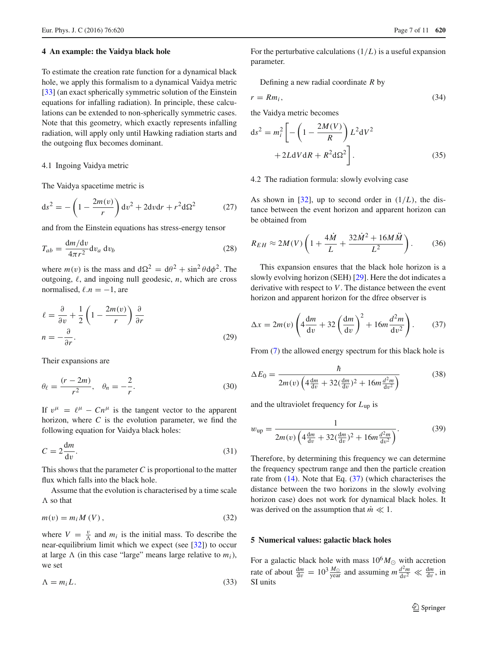#### <span id="page-6-0"></span>**4 An example: the Vaidya black hole**

To estimate the creation rate function for a dynamical black hole, we apply this formalism to a dynamical Vaidya metric [\[33](#page-10-31)] (an exact spherically symmetric solution of the Einstein equations for infalling radiation). In principle, these calculations can be extended to non-spherically symmetric cases. Note that this geometry, which exactly represents infalling radiation, will apply only until Hawking radiation starts and the outgoing flux becomes dominant.

#### <span id="page-6-1"></span>4.1 Ingoing Vaidya metric

The Vaidya spacetime metric is

$$
ds^{2} = -\left(1 - \frac{2m(v)}{r}\right) dv^{2} + 2dvdr + r^{2}d\Omega^{2}
$$
 (27)

and from the Einstein equations has stress-energy tensor

$$
T_{ab} = \frac{\mathrm{d}m/\mathrm{d}v}{4\pi r^2} \mathrm{d}v_a \mathrm{d}v_b \tag{28}
$$

where  $m(v)$  is the mass and  $d\Omega^2 = d\theta^2 + \sin^2 \theta d\phi^2$ . The outgoing,  $\ell$ , and ingoing null geodesic,  $n$ , which are cross normalised,  $\ell.n = -1$ , are

$$
\ell = \frac{\partial}{\partial v} + \frac{1}{2} \left( 1 - \frac{2m(v)}{r} \right) \frac{\partial}{\partial r}
$$

$$
n = -\frac{\partial}{\partial r}.
$$
 (29)

Their expansions are

$$
\theta_{\ell} = \frac{(r - 2m)}{r^2}, \quad \theta_n = -\frac{2}{r}.
$$
 (30)

If  $v^{\mu} = \ell^{\mu} - C n^{\mu}$  is the tangent vector to the apparent horizon, where *C* is the evolution parameter, we find the following equation for Vaidya black holes:

$$
C = 2\frac{\mathrm{d}m}{\mathrm{d}v}.\tag{31}
$$

This shows that the parameter *C* is proportional to the matter flux which falls into the black hole.

Assume that the evolution is characterised by a time scale  $\Lambda$  so that

$$
m(v) = m_i M(V), \qquad (32)
$$

where  $V = \frac{v}{\Lambda}$  and  $m_i$  is the initial mass. To describe the near-equilibrium limit which we expect (see [\[32](#page-10-32)]) to occur at large  $\Lambda$  (in this case "large" means large relative to  $m_i$ ), we set

$$
\Lambda = m_i L. \tag{33}
$$

For the perturbative calculations (1/*L*) is a useful expansion parameter.

Defining a new radial coordinate *R* by

$$
r = Rm_i,\tag{34}
$$

the Vaidya metric becomes

$$
ds^{2} = m_{i}^{2} \left[ -\left(1 - \frac{2M(V)}{R}\right) L^{2} dV^{2} + 2L dV dR + R^{2} d\Omega^{2} \right].
$$
\n(35)

## <span id="page-6-2"></span>4.2 The radiation formula: slowly evolving case

As shown in [\[32\]](#page-10-32), up to second order in  $(1/L)$ , the distance between the event horizon and apparent horizon can be obtained from

$$
R_{EH} \approx 2M(V)\left(1 + \frac{4\dot{M}}{L} + \frac{32\dot{M}^2 + 16M\ddot{M}}{L^2}\right). \tag{36}
$$

This expansion ensures that the black hole horizon is a slowly evolving horizon (SEH) [\[29](#page-10-33)]. Here the dot indicates a derivative with respect to *V*. The distance between the event horizon and apparent horizon for the dfree observer is

<span id="page-6-4"></span>
$$
\Delta x = 2m(v)\left(4\frac{\mathrm{d}m}{\mathrm{d}v} + 32\left(\frac{\mathrm{d}m}{\mathrm{d}v}\right)^2 + 16m\frac{d^2m}{\mathrm{d}v^2}\right). \tag{37}
$$

From  $(7)$  the allowed energy spectrum for this black hole is

$$
\Delta E_0 = \frac{\hbar}{2m(v)\left(4\frac{dm}{dv} + 32(\frac{dm}{dv})^2 + 16m\frac{d^2m}{dv^2}\right)}
$$
(38)

<span id="page-6-5"></span>and the ultraviolet frequency for *L*up is

$$
w_{\text{up}} = \frac{1}{2m(v)\left(4\frac{\text{d}m}{\text{d}v} + 32\left(\frac{\text{d}m}{\text{d}v}\right)^2 + 16m\frac{d^2m}{\text{d}v^2}\right)}.
$$
(39)

Therefore, by determining this frequency we can determine the frequency spectrum range and then the particle creation rate from [\(14\)](#page-4-2). Note that Eq. [\(37\)](#page-6-4) (which characterises the distance between the two horizons in the slowly evolving horizon case) does not work for dynamical black holes. It was derived on the assumption that  $\dot{m} \ll 1$ .

## <span id="page-6-3"></span>**5 Numerical values: galactic black holes**

For a galactic black hole with mass  $10^6 M_{\odot}$  with accretion rate of about  $\frac{dm}{dv} = 10^3 \frac{M_{\odot}}{year}$  and assuming  $m \frac{d^2m}{dv^2} \ll \frac{dm}{dv}$ , in SI units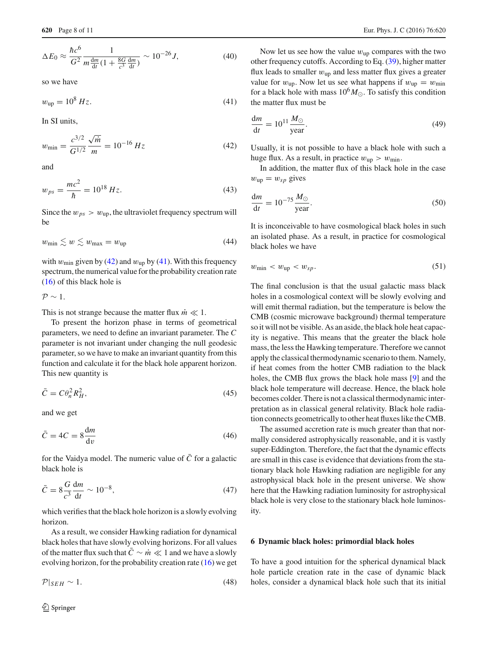$$
\Delta E_0 \approx \frac{\hbar c^6}{G^2} \frac{1}{m \frac{dm}{dt} (1 + \frac{8G}{c^3} \frac{dm}{dt})} \sim 10^{-26} J,
$$
\n(40)

<span id="page-7-2"></span>so we have

 $w_{\text{up}} = 10^8 \, Hz.$  (41)

<span id="page-7-1"></span>In SI units,

$$
w_{\min} = \frac{c^{3/2}}{G^{1/2}} \frac{\sqrt{m}}{m} = 10^{-16} Hz
$$
 (42)

and

$$
w_{ps} = \frac{mc^2}{\hbar} = 10^{18} Hz.
$$
\n(43)

Since the  $w_{ps} > w_{up}$ , the ultraviolet frequency spectrum will be

$$
w_{\min} \lesssim w \lesssim w_{\max} = w_{\text{up}} \tag{44}
$$

with  $w_{\text{min}}$  given by [\(42\)](#page-7-1) and  $w_{\text{up}}$  by [\(41\)](#page-7-2). With this frequency spectrum, the numerical value for the probability creation rate [\(16\)](#page-4-5) of this black hole is

*P* ∼ 1.

This is not strange because the matter flux  $\dot{m} \ll 1$ .

To present the horizon phase in terms of geometrical parameters, we need to define an invariant parameter. The *C* parameter is not invariant under changing the null geodesic parameter, so we have to make an invariant quantity from this function and calculate it for the black hole apparent horizon. This new quantity is

$$
\bar{C} = C\theta_n^2 R_H^2,\tag{45}
$$

and we get

$$
\bar{C} = 4C = 8 \frac{\mathrm{d}m}{\mathrm{d}v} \tag{46}
$$

for the Vaidya model. The numeric value of  $\overline{C}$  for a galactic black hole is

$$
\bar{C} = 8 \frac{G}{c^3} \frac{dm}{dt} \sim 10^{-8},\tag{47}
$$

which verifies that the black hole horizon is a slowly evolving horizon.

As a result, we consider Hawking radiation for dynamical black holes that have slowly evolving horizons. For all values of the matter flux such that  $C \sim \dot{m} \ll 1$  and we have a slowly evolving horizon, for the probability creation rate [\(16\)](#page-4-5) we get

$$
\mathcal{P}|_{SEH} \sim 1. \tag{48}
$$

Now let us see how the value  $w_{up}$  compares with the two other frequency cutoffs. According to Eq. [\(39\)](#page-6-5), higher matter flux leads to smaller  $w_{\text{up}}$  and less matter flux gives a greater value for  $w_{\text{up}}$ . Now let us see what happens if  $w_{\text{up}} = w_{\text{min}}$ for a black hole with mass  $10^6 M_{\odot}$ . To satisfy this condition the matter flux must be

$$
\frac{dm}{dt} = 10^{11} \frac{M_{\odot}}{\text{year}}.
$$
\n(49)

Usually, it is not possible to have a black hole with such a huge flux. As a result, in practice  $w_{\text{up}} > w_{\text{min}}$ .

In addition, the matter flux of this black hole in the case  $w_{\rm up} = w_{sp}$  gives

$$
\frac{dm}{dt} = 10^{-75} \frac{M_{\odot}}{\text{year}}.
$$
\n(50)

It is inconceivable to have cosmological black holes in such an isolated phase. As a result, in practice for cosmological black holes we have

$$
w_{\min} < w_{\text{up}} < w_{\text{sp}}.\tag{51}
$$

The final conclusion is that the usual galactic mass black holes in a cosmological context will be slowly evolving and will emit thermal radiation, but the temperature is below the CMB (cosmic microwave background) thermal temperature so it will not be visible. As an aside, the black hole heat capacity is negative. This means that the greater the black hole mass, the less the Hawking temperature. Therefore we cannot apply the classical thermodynamic scenario to them. Namely, if heat comes from the hotter CMB radiation to the black holes, the CMB flux grows the black hole mass [\[9\]](#page-10-6) and the black hole temperature will decrease. Hence, the black hole becomes colder. There is not a classical thermodynamic interpretation as in classical general relativity. Black hole radiation connects geometrically to other heat fluxes like the CMB.

The assumed accretion rate is much greater than that normally considered astrophysically reasonable, and it is vastly super-Eddington. Therefore, the fact that the dynamic effects are small in this case is evidence that deviations from the stationary black hole Hawking radiation are negligible for any astrophysical black hole in the present universe. We show here that the Hawking radiation luminosity for astrophysical black hole is very close to the stationary black hole luminosity.

#### <span id="page-7-0"></span>**6 Dynamic black holes: primordial black holes**

To have a good intuition for the spherical dynamical black hole particle creation rate in the case of dynamic black holes, consider a dynamical black hole such that its initial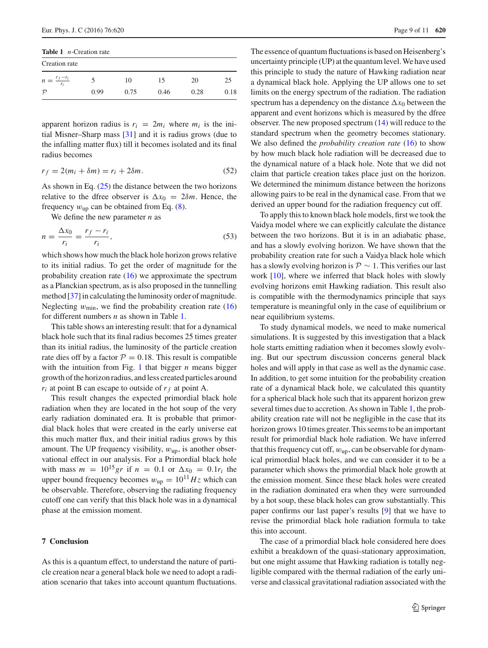<span id="page-8-1"></span>

| <b>Table 1</b> $n$ -Creation rate |      |      |      |      |      |  |  |  |  |
|-----------------------------------|------|------|------|------|------|--|--|--|--|
| Creation rate                     |      |      |      |      |      |  |  |  |  |
| $n = \frac{r_f - r_i}{r_i}$       | 5    | 10   | 15   | 20   | 25   |  |  |  |  |
| $\mathcal{P}$                     | 0.99 | 0.75 | 0.46 | 0.28 | 0.18 |  |  |  |  |

apparent horizon radius is  $r_i = 2m_i$  where  $m_i$  is the initial Misner–Sharp mass [\[31\]](#page-10-34) and it is radius grows (due to the infalling matter flux) till it becomes isolated and its final radius becomes

$$
r_f = 2(m_i + \delta m) = r_i + 2\delta m. \tag{52}
$$

As shown in Eq.  $(25)$  the distance between the two horizons relative to the dfree observer is  $\Delta x_0 = 2\delta m$ . Hence, the frequency  $w_{\text{up}}$  can be obtained from Eq. [\(8\)](#page-3-3).

We define the new parameter *n* as

$$
n = \frac{\Delta x_0}{r_i} = \frac{r_f - r_i}{r_i},\tag{53}
$$

which shows how much the black hole horizon grows relative to its initial radius. To get the order of magnitude for the probability creation rate [\(16\)](#page-4-5) we approximate the spectrum as a Planckian spectrum, as is also proposed in the tunnelling method [\[37\]](#page-10-35) in calculating the luminosity order of magnitude. Neglecting  $w_{\text{min}}$ , we find the probability creation rate [\(16\)](#page-4-5) for different numbers *n* as shown in Table [1.](#page-8-1)

This table shows an interesting result: that for a dynamical black hole such that its final radius becomes 25 times greater than its initial radius, the luminosity of the particle creation rate dies off by a factor  $P = 0.18$ . This result is compatible with the intuition from Fig. [1](#page-3-1) that bigger *n* means bigger growth of the horizon radius, and less created particles around  $r_i$  at point B can escape to outside of  $r_f$  at point A.

This result changes the expected primordial black hole radiation when they are located in the hot soup of the very early radiation dominated era. It is probable that primordial black holes that were created in the early universe eat this much matter flux, and their initial radius grows by this amount. The UP frequency visibility,  $w_{\text{up}}$ , is another observational effect in our analysis. For a Primordial black hole with mass  $m = 10^{15}gr$  if  $n = 0.1$  or  $\Delta x_0 = 0.1r_i$  the upper bound frequency becomes  $w_{\text{up}} = 10^{11} Hz$  which can be observable. Therefore, observing the radiating frequency cutoff one can verify that this black hole was in a dynamical phase at the emission moment.

## <span id="page-8-0"></span>**7 Conclusion**

As this is a quantum effect, to understand the nature of particle creation near a general black hole we need to adopt a radiation scenario that takes into account quantum fluctuations.

The essence of quantum fluctuations is based on Heisenberg's uncertainty principle (UP) at the quantum level. We have used this principle to study the nature of Hawking radiation near a dynamical black hole. Applying the UP allows one to set limits on the energy spectrum of the radiation. The radiation spectrum has a dependency on the distance  $\Delta x_0$  between the apparent and event horizons which is measured by the dfree observer. The new proposed spectrum [\(14\)](#page-4-2) will reduce to the standard spectrum when the geometry becomes stationary. We also defined the *probability creation rate* [\(16\)](#page-4-5) to show by how much black hole radiation will be decreased due to the dynamical nature of a black hole. Note that we did not claim that particle creation takes place just on the horizon. We determined the minimum distance between the horizons allowing pairs to be real in the dynamical case. From that we derived an upper bound for the radiation frequency cut off.

To apply this to known black hole models, first we took the Vaidya model where we can explicitly calculate the distance between the two horizons. But it is in an adiabatic phase, and has a slowly evolving horizon. We have shown that the probability creation rate for such a Vaidya black hole which has a slowly evolving horizon is *P* ∼ 1. This verifies our last work [\[10](#page-10-7)], where we inferred that black holes with slowly evolving horizons emit Hawking radiation. This result also is compatible with the thermodynamics principle that says temperature is meaningful only in the case of equilibrium or near equilibrium systems.

To study dynamical models, we need to make numerical simulations. It is suggested by this investigation that a black hole starts emitting radiation when it becomes slowly evolving. But our spectrum discussion concerns general black holes and will apply in that case as well as the dynamic case. In addition, to get some intuition for the probability creation rate of a dynamical black hole, we calculated this quantity for a spherical black hole such that its apparent horizon grew several times due to accretion. As shown in Table [1,](#page-8-1) the probability creation rate will not be negligible in the case that its horizon grows 10 times greater. This seems to be an important result for primordial black hole radiation. We have inferred that this frequency cut off,  $w_{\text{up}}$ , can be observable for dynamical primordial black holes, and we can consider it to be a parameter which shows the primordial black hole growth at the emission moment. Since these black holes were created in the radiation dominated era when they were surrounded by a hot soup, these black holes can grow substantially. This paper confirms our last paper's results [\[9](#page-10-6)] that we have to revise the primordial black hole radiation formula to take this into account.

The case of a primordial black hole considered here does exhibit a breakdown of the quasi-stationary approximation, but one might assume that Hawking radiation is totally negligible compared with the thermal radiation of the early universe and classical gravitational radiation associated with the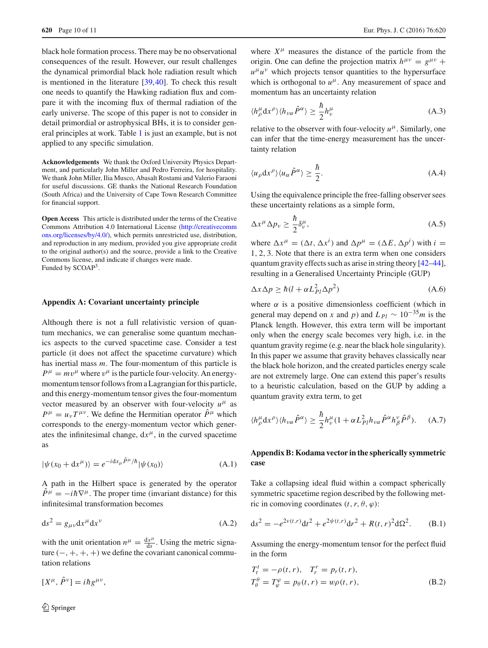black hole formation process. There may be no observational consequences of the result. However, our result challenges the dynamical primordial black hole radiation result which is mentioned in the literature [\[39](#page-10-36)[,40](#page-10-37)]. To check this result one needs to quantify the Hawking radiation flux and compare it with the incoming flux of thermal radiation of the early universe. The scope of this paper is not to consider in detail primordial or astrophysical BHs, it is to consider general principles at work. Table [1](#page-8-1) is just an example, but is not applied to any specific simulation.

**Acknowledgements** We thank the Oxford University Physics Department, and particularly John Miller and Pedro Ferreira, for hospitality. We thank John Miller, Ilia Musco, Abasalt Rostami and Valerio Faraoni for useful discussions. GE thanks the National Research Foundation (South Africa) and the University of Cape Town Research Committee for financial support.

**Open Access** This article is distributed under the terms of the Creative Commons Attribution 4.0 International License [\(http://creativecomm](http://creativecommons.org/licenses/by/4.0/) [ons.org/licenses/by/4.0/\)](http://creativecommons.org/licenses/by/4.0/), which permits unrestricted use, distribution, and reproduction in any medium, provided you give appropriate credit to the original author(s) and the source, provide a link to the Creative Commons license, and indicate if changes were made. Funded by SCOAP3.

#### <span id="page-9-0"></span>**Appendix A: Covariant uncertainty principle**

Although there is not a full relativistic version of quantum mechanics, we can generalise some quantum mechanics aspects to the curved spacetime case. Consider a test particle (it does not affect the spacetime curvature) which has inertial mass *m*. The four-momentum of this particle is  $P^{\mu} = mv^{\mu}$  where  $v^{\mu}$  is the particle four-velocity. An energymomentum tensor follows from a Lagrangian for this particle, and this energy-momentum tensor gives the four-momentum vector measured by an observer with four-velocity  $u^{\mu}$  as  $P^{\mu} = u_{\nu} T^{\mu \nu}$ . We define the Hermitian operator  $\hat{P}^{\mu}$  which corresponds to the energy-momentum vector which generates the infinitesimal change,  $dx^{\mu}$ , in the curved spacetime as

$$
|\psi(x_0 + dx^{\mu})\rangle = e^{-i dx_{\mu}\hat{P}^{\mu}/\hbar}|\psi(x_0)\rangle
$$
 (A.1)

A path in the Hilbert space is generated by the operator  $\hat{P}^{\mu} = -i\hbar \nabla^{\mu}$ . The proper time (invariant distance) for this infinitesimal transformation becomes

$$
ds^2 = g_{\mu\nu} dx^{\mu} dx^{\nu}
$$
 (A.2)

with the unit orientation  $n^{\mu} = \frac{dx^{\mu}}{ds}$ . Using the metric signature  $(-, +, +, +)$  we define the covariant canonical commutation relations

 $[X^{\mu}, \hat{P}^{\nu}] = i\hbar g^{\mu\nu}$ ,

where  $X^{\mu}$  measures the distance of the particle from the origin. One can define the projection matrix  $h^{\mu\nu} = g^{\mu\nu} +$  $u^{\mu}u^{\nu}$  which projects tensor quantities to the hypersurface which is orthogonal to  $u^{\mu}$ . Any measurement of space and momentum has an uncertainty relation

$$
\langle h_{\rho}^{\mu} dx^{\rho} \rangle \langle h_{\nu\alpha} \hat{P}^{\alpha} \rangle \ge \frac{\hbar}{2} h_{\nu}^{\mu} \tag{A.3}
$$

relative to the observer with four-velocity  $u^{\mu}$ . Similarly, one can infer that the time-energy measurement has the uncertainty relation

$$
\langle u_{\rho} dx^{\rho} \rangle \langle u_{\alpha} \hat{P}^{\alpha} \rangle \ge \frac{\hbar}{2}.
$$
 (A.4)

Using the equivalence principle the free-falling observer sees these uncertainty relations as a simple form,

<span id="page-9-2"></span>
$$
\Delta x^{\mu} \Delta p_{\nu} \ge \frac{\hbar}{2} \delta^{\mu}_{\nu},\tag{A.5}
$$

where  $\Delta x^{\mu} = (\Delta t, \Delta x^{i})$  and  $\Delta p^{\mu} = (\Delta E, \Delta p^{i})$  with  $i =$ 1, 2, 3. Note that there is an extra term when one considers quantum gravity effects such as arise in string theory [\[42](#page-10-38)[–44](#page-10-39)], resulting in a Generalised Uncertainty Principle (GUP)

$$
\Delta x \Delta p \ge \hbar (l + \alpha L_{Pl}^2 \Delta p^2)
$$
 (A.6)

where  $\alpha$  is a positive dimensionless coefficient (which in general may depend on *x* and *p*) and  $L_{Pl} \sim 10^{-35}m$  is the Planck length. However, this extra term will be important only when the energy scale becomes very high, i.e. in the quantum gravity regime (e.g. near the black hole singularity). In this paper we assume that gravity behaves classically near the black hole horizon, and the created particles energy scale are not extremely large. One can extend this paper's results to a heuristic calculation, based on the GUP by adding a quantum gravity extra term, to get

$$
\langle h^{\mu}_{\rho} dx^{\rho} \rangle \langle h_{\nu\alpha} \hat{P}^{\alpha} \rangle \ge \frac{\hbar}{2} h^{\mu}_{\nu} (1 + \alpha L_{Pl}^2 h_{\nu\alpha} \hat{P}^{\alpha} h^{\nu}_{\beta} \hat{P}^{\beta}). \tag{A.7}
$$

## <span id="page-9-1"></span>**Appendix B: Kodama vector in the spherically symmetric case**

Take a collapsing ideal fluid within a compact spherically symmetric spacetime region described by the following metric in comoving coordinates  $(t, r, \theta, \varphi)$ :

$$
ds^{2} = -e^{2\nu(t,r)}dt^{2} + e^{2\psi(t,r)}dr^{2} + R(t,r)^{2}d\Omega^{2}.
$$
 (B.1)

Assuming the energy-momentum tensor for the perfect fluid in the form

$$
T_t^t = -\rho(t, r), \quad T_r^r = p_r(t, r),
$$
  
\n
$$
T_\theta^\theta = T_\varphi^\varphi = p_\theta(t, r) = w\rho(t, r),
$$
\n(B.2)